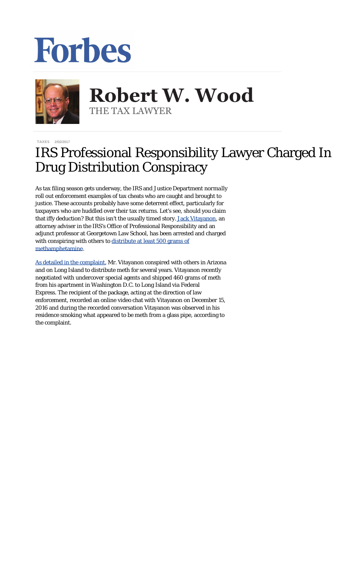## Forbes



**Robert W. Wood Robert W. Wood** THE TAX LAWYER THE TAX LAWYER

[TAXES](http://www.forbes.com/taxes) 2/02/2017

## IRS Professional Responsibility Lawyer Charged In Drug Distribution Conspiracy

As tax filing season gets underway, the IRS and Justice Department *normally* roll out enforcement examples of tax cheats who are caught and brought to justice. These accounts probably have some deterrent effect, particularly for taxpayers who are huddled over their tax returns. Let's see, should you claim that iffy deduction? But this isn't the usually timed story. [Jack Vitayanon,](https://www.justice.gov/usao-edny/pr/washington-dc-based-internal-revenue-service-attorney-charged-conspiracy-distribute) an attorney adviser in the IRS's Office of Professional Responsibility and an adjunct professor at Georgetown Law School, has been arrested and charged with conspiring with others to [distribute at least 500 grams of](http://www.cnbc.com/2017/02/01/irs-lawyer-arrested-on-methamphetamine-distribution-charges.html) [methamphetamine](http://www.cnbc.com/2017/02/01/irs-lawyer-arrested-on-methamphetamine-distribution-charges.html).

[As detailed in the complaint](https://www.justice.gov/usao-edny/press-release/file/934511/download), Mr. Vitayanon conspired with others in Arizona and on Long Island to distribute meth for several years. Vitayanon recently negotiated with undercover special agents and shipped 460 grams of meth from his apartment in Washington D.C. to Long Island via Federal Express. The recipient of the package, acting at the direction of law enforcement, recorded an online video chat with Vitayanon on December 15, 2016 and during the recorded conversation Vitayanon was observed in his residence smoking what appeared to be meth from a glass pipe, according to the complaint.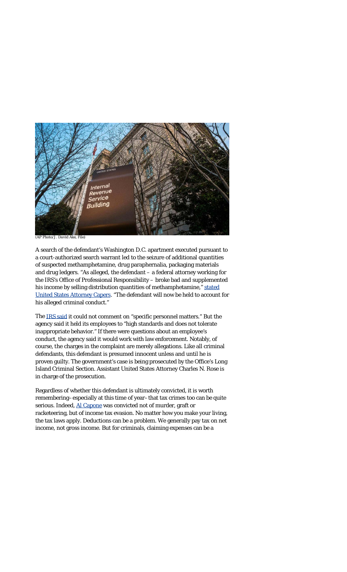

*(AP Photo/J. David Ake, File)*

A search of the defendant's Washington D.C. apartment executed pursuant to a court-authorized search warrant led to the seizure of additional quantities of suspected methamphetamine, drug paraphernalia, packaging materials and drug ledgers. "As alleged, the defendant – a federal attorney working for the IRS's Office of Professional Responsibility – broke bad and supplemented his income by selling distribution quantities of methamphetamine," [stated](https://www.justice.gov/usao-edny/pr/washington-dc-based-internal-revenue-service-attorney-charged-conspiracy-distribute) [United States Attorney Capers](https://www.justice.gov/usao-edny/pr/washington-dc-based-internal-revenue-service-attorney-charged-conspiracy-distribute). "The defendant will now be held to account for his alleged criminal conduct."

The [IRS said](http://www.nydailynews.com/news/national/irs-lawyer-busted-dealing-crystal-meth-article-1.2961799) it could not comment on "specific personnel matters." But the agency said it held its employees to "high standards and does not tolerate inappropriate behavior." If there were questions about an employee's conduct, the agency said it would work with law enforcement. Notably, of course, the charges in the complaint are merely allegations. Like all criminal defendants, this defendant is presumed innocent unless and until he is proven guilty. The government's case is being prosecuted by the Office's Long Island Criminal Section. Assistant United States Attorney Charles N. Rose is in charge of the prosecution.

Regardless of whether this defendant is ultimately convicted, it is worth remembering–especially at this time of year–that tax crimes too can be quite serious. Indeed, [Al Capone](http://www.fbi.gov/about-us/history/famous-cases/al-capone) was convicted not of murder, graft or racketeering, but of income tax evasion. No matter how you make your living, the tax laws apply. Deductions can be a problem. We generally pay tax on net income, not gross income. But for criminals, claiming expenses can be a